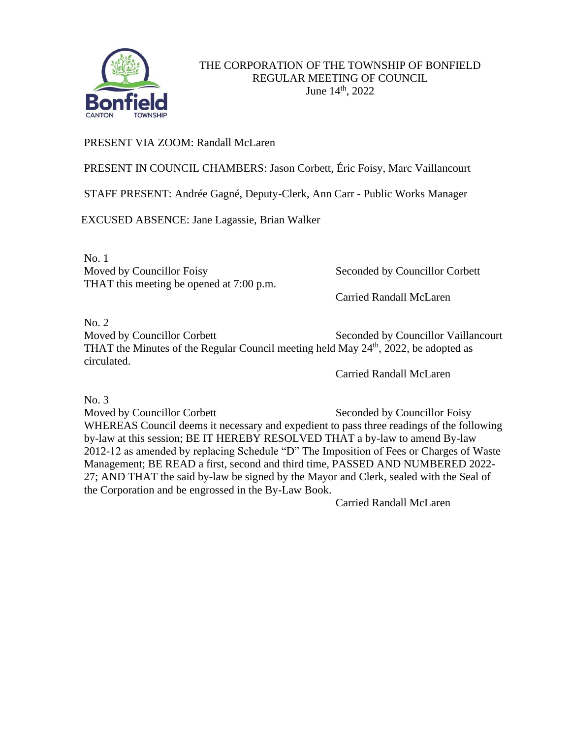

## PRESENT VIA ZOOM: Randall McLaren

PRESENT IN COUNCIL CHAMBERS: Jason Corbett, Éric Foisy, Marc Vaillancourt

STAFF PRESENT: Andrée Gagné, Deputy-Clerk, Ann Carr - Public Works Manager

EXCUSED ABSENCE: Jane Lagassie, Brian Walker

No. 1 Moved by Councillor Foisy Seconded by Councillor Corbett THAT this meeting be opened at 7:00 p.m.

Carried Randall McLaren

No. 2

Moved by Councillor Corbett Seconded by Councillor Vaillancourt THAT the Minutes of the Regular Council meeting held May  $24<sup>th</sup>$ , 2022, be adopted as circulated.

Carried Randall McLaren

No. 3

Moved by Councillor Corbett Seconded by Councillor Foisy WHEREAS Council deems it necessary and expedient to pass three readings of the following by-law at this session; BE IT HEREBY RESOLVED THAT a by-law to amend By-law 2012-12 as amended by replacing Schedule "D" The Imposition of Fees or Charges of Waste Management; BE READ a first, second and third time, PASSED AND NUMBERED 2022- 27; AND THAT the said by-law be signed by the Mayor and Clerk, sealed with the Seal of the Corporation and be engrossed in the By-Law Book.

Carried Randall McLaren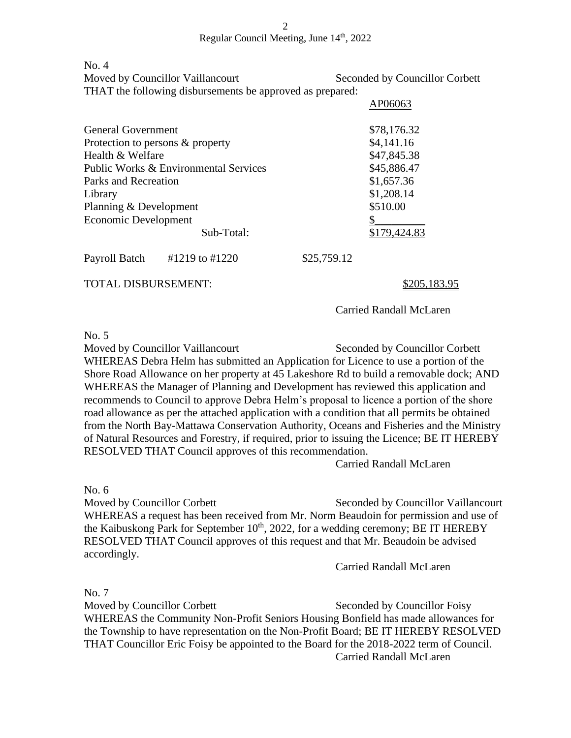Regular Council Meeting, June 14th, 2022

No. 4

Moved by Councillor Vaillancourt Seconded by Councillor Corbett THAT the following disbursements be approved as prepared:

|                                       |                |             | APU0U03      |
|---------------------------------------|----------------|-------------|--------------|
| <b>General Government</b>             |                |             | \$78,176.32  |
| Protection to persons & property      |                |             | \$4,141.16   |
| Health & Welfare                      |                |             | \$47,845.38  |
| Public Works & Environmental Services |                |             | \$45,886.47  |
| Parks and Recreation                  |                |             | \$1,657.36   |
| Library                               |                |             | \$1,208.14   |
| Planning & Development                |                |             | \$510.00     |
| Economic Development                  |                |             |              |
|                                       | Sub-Total:     |             | \$179,424.83 |
| Payroll Batch                         | #1219 to #1220 | \$25,759.12 |              |
|                                       |                |             |              |

TOTAL DISBURSEMENT: \$205,183.95

Carried Randall McLaren

 $AD06063$ 

 $No. 5$ 

Moved by Councillor Vaillancourt Seconded by Councillor Corbett WHEREAS Debra Helm has submitted an Application for Licence to use a portion of the Shore Road Allowance on her property at 45 Lakeshore Rd to build a removable dock; AND WHEREAS the Manager of Planning and Development has reviewed this application and recommends to Council to approve Debra Helm's proposal to licence a portion of the shore road allowance as per the attached application with a condition that all permits be obtained from the North Bay-Mattawa Conservation Authority, Oceans and Fisheries and the Ministry of Natural Resources and Forestry, if required, prior to issuing the Licence; BE IT HEREBY RESOLVED THAT Council approves of this recommendation.

Carried Randall McLaren

No. 6

Moved by Councillor Corbett Seconded by Councillor Vaillancourt WHEREAS a request has been received from Mr. Norm Beaudoin for permission and use of the Kaibuskong Park for September  $10<sup>th</sup>$ , 2022, for a wedding ceremony; BE IT HEREBY RESOLVED THAT Council approves of this request and that Mr. Beaudoin be advised accordingly.

Carried Randall McLaren

No. 7

Moved by Councillor Corbett Seconded by Councillor Foisy WHEREAS the Community Non-Profit Seniors Housing Bonfield has made allowances for the Township to have representation on the Non-Profit Board; BE IT HEREBY RESOLVED THAT Councillor Eric Foisy be appointed to the Board for the 2018-2022 term of Council. Carried Randall McLaren